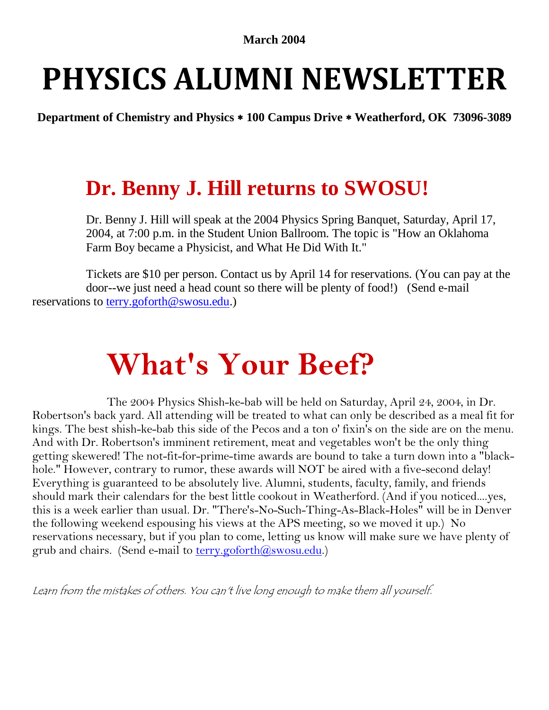#### **March 2004**

## **PHYSICS ALUMNI NEWSLETTER**

**Department of Chemistry and Physics 100 Campus Drive Weatherford, OK 73096-3089**

#### **Dr. Benny J. Hill returns to SWOSU!**

Dr. Benny J. Hill will speak at the 2004 Physics Spring Banquet, Saturday, April 17, 2004, at 7:00 p.m. in the Student Union Ballroom. The topic is "How an Oklahoma Farm Boy became a Physicist, and What He Did With It."

Tickets are \$10 per person. Contact us by April 14 for reservations. (You can pay at the door--we just need a head count so there will be plenty of food!) (Send e-mail reservations to [terry.goforth@swosu.edu.](mailto:terry.goforth@swosu.edu))

### **What's Your Beef?**

The 2004 Physics Shish-ke-bab will be held on Saturday, April 24, 2004, in Dr. Robertson's back yard. All attending will be treated to what can only be described as a meal fit for kings. The best shish-ke-bab this side of the Pecos and a ton o' fixin's on the side are on the menu. And with Dr. Robertson's imminent retirement, meat and vegetables won't be the only thing getting skewered! The not-fit-for-prime-time awards are bound to take a turn down into a "blackhole." However, contrary to rumor, these awards will NOT be aired with a five-second delay! Everything is guaranteed to be absolutely live. Alumni, students, faculty, family, and friends should mark their calendars for the best little cookout in Weatherford. (And if you noticed....yes, this is a week earlier than usual. Dr. "There's-No-Such-Thing-As-Black-Holes" will be in Denver the following weekend espousing his views at the APS meeting, so we moved it up.) No reservations necessary, but if you plan to come, letting us know will make sure we have plenty of grub and chairs. (Send e-mail to **terry.goforth@swosu.edu.)** 

Learn from the mistakes of others. You can't live long enough to make them all yourself.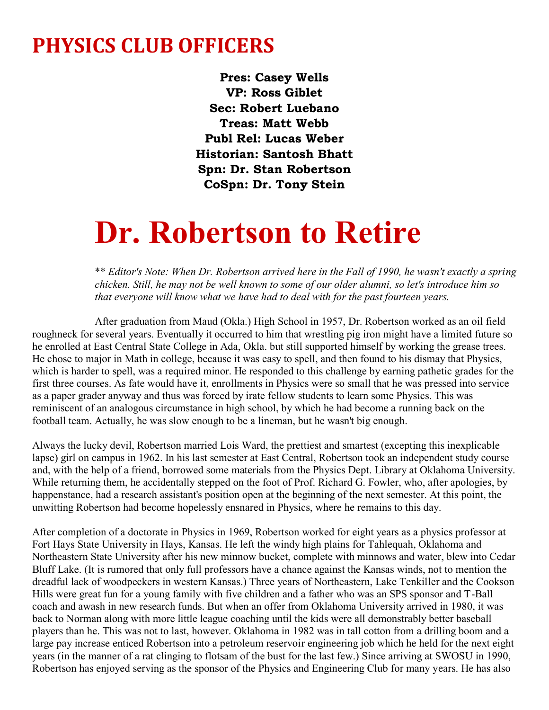#### **PHYSICS CLUB OFFICERS**

**Pres: Casey Wells VP: Ross Giblet Sec: Robert Luebano Treas: Matt Webb Publ Rel: Lucas Weber Historian: Santosh Bhatt Spn: Dr. Stan Robertson CoSpn: Dr. Tony Stein**

### **Dr. Robertson to Retire**

\*\* *Editor's Note: When Dr. Robertson arrived here in the Fall of 1990, he wasn't exactly a spring chicken. Still, he may not be well known to some of our older alumni, so let's introduce him so that everyone will know what we have had to deal with for the past fourteen years.*

After graduation from Maud (Okla.) High School in 1957, Dr. Robertson worked as an oil field roughneck for several years. Eventually it occurred to him that wrestling pig iron might have a limited future so he enrolled at East Central State College in Ada, Okla. but still supported himself by working the grease trees. He chose to major in Math in college, because it was easy to spell, and then found to his dismay that Physics, which is harder to spell, was a required minor. He responded to this challenge by earning pathetic grades for the first three courses. As fate would have it, enrollments in Physics were so small that he was pressed into service as a paper grader anyway and thus was forced by irate fellow students to learn some Physics. This was reminiscent of an analogous circumstance in high school, by which he had become a running back on the football team. Actually, he was slow enough to be a lineman, but he wasn't big enough.

Always the lucky devil, Robertson married Lois Ward, the prettiest and smartest (excepting this inexplicable lapse) girl on campus in 1962. In his last semester at East Central, Robertson took an independent study course and, with the help of a friend, borrowed some materials from the Physics Dept. Library at Oklahoma University. While returning them, he accidentally stepped on the foot of Prof. Richard G. Fowler, who, after apologies, by happenstance, had a research assistant's position open at the beginning of the next semester. At this point, the unwitting Robertson had become hopelessly ensnared in Physics, where he remains to this day.

After completion of a doctorate in Physics in 1969, Robertson worked for eight years as a physics professor at Fort Hays State University in Hays, Kansas. He left the windy high plains for Tahlequah, Oklahoma and Northeastern State University after his new minnow bucket, complete with minnows and water, blew into Cedar Bluff Lake. (It is rumored that only full professors have a chance against the Kansas winds, not to mention the dreadful lack of woodpeckers in western Kansas.) Three years of Northeastern, Lake Tenkiller and the Cookson Hills were great fun for a young family with five children and a father who was an SPS sponsor and T-Ball coach and awash in new research funds. But when an offer from Oklahoma University arrived in 1980, it was back to Norman along with more little league coaching until the kids were all demonstrably better baseball players than he. This was not to last, however. Oklahoma in 1982 was in tall cotton from a drilling boom and a large pay increase enticed Robertson into a petroleum reservoir engineering job which he held for the next eight years (in the manner of a rat clinging to flotsam of the bust for the last few.) Since arriving at SWOSU in 1990, Robertson has enjoyed serving as the sponsor of the Physics and Engineering Club for many years. He has also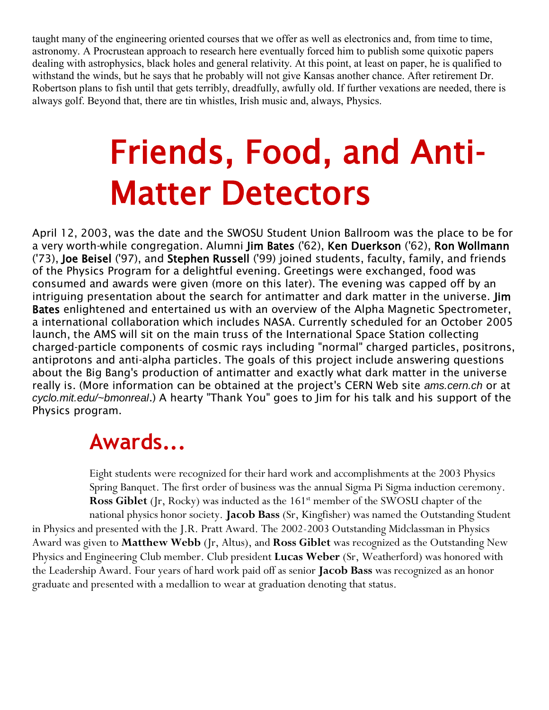taught many of the engineering oriented courses that we offer as well as electronics and, from time to time, astronomy. A Procrustean approach to research here eventually forced him to publish some quixotic papers dealing with astrophysics, black holes and general relativity. At this point, at least on paper, he is qualified to withstand the winds, but he says that he probably will not give Kansas another chance. After retirement Dr. Robertson plans to fish until that gets terribly, dreadfully, awfully old. If further vexations are needed, there is always golf. Beyond that, there are tin whistles, Irish music and, always, Physics.

# Friends, Food, and Anti-Matter Detectors

April 12, 2003, was the date and the SWOSU Student Union Ballroom was the place to be for a very worth-while congregation. Alumni Jim Bates ('62), Ken Duerkson ('62), Ron Wollmann ('73), Joe Beisel ('97), and Stephen Russell ('99) joined students, faculty, family, and friends of the Physics Program for a delightful evening. Greetings were exchanged, food was consumed and awards were given (more on this later). The evening was capped off by an intriguing presentation about the search for antimatter and dark matter in the universe. Jim Bates enlightened and entertained us with an overview of the Alpha Magnetic Spectrometer, a international collaboration which includes NASA. Currently scheduled for an October 2005 launch, the AMS will sit on the main truss of the International Space Station collecting charged-particle components of cosmic rays including "normal" charged particles, positrons, antiprotons and anti-alpha particles. The goals of this project include answering questions about the Big Bang's production of antimatter and exactly what dark matter in the universe really is. (More information can be obtained at the project's CERN Web site *ams.cern.ch* or at *cyclo.mit.edu/~bmonreal*.) A hearty "Thank You" goes to Jim for his talk and his support of the Physics program.

#### **Awards...**

Eight students were recognized for their hard work and accomplishments at the 2003 Physics Spring Banquet. The first order of business was the annual Sigma Pi Sigma induction ceremony. **Ross Giblet** (Jr, Rocky) was inducted as the 161<sup>st</sup> member of the SWOSU chapter of the national physics honor society. **Jacob Bass** (Sr, Kingfisher) was named the Outstanding Student in Physics and presented with the J.R. Pratt Award. The 2002-2003 Outstanding Midclassman in Physics Award was given to **Matthew Webb** (Jr, Altus), and **Ross Giblet** was recognized as the Outstanding New Physics and Engineering Club member. Club president **Lucas Weber** (Sr, Weatherford) was honored with the Leadership Award. Four years of hard work paid off as senior **Jacob Bass** was recognized as an honor graduate and presented with a medallion to wear at graduation denoting that status.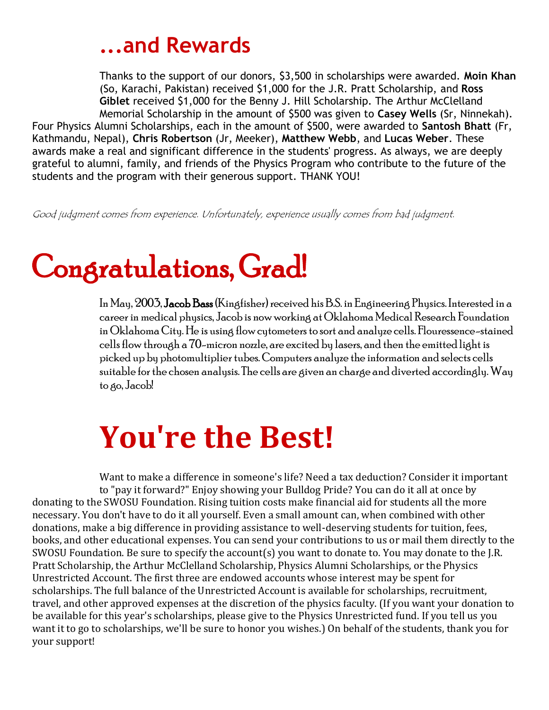#### **...and Rewards**

Thanks to the support of our donors, \$3,500 in scholarships were awarded. **Moin Khan** (So, Karachi, Pakistan) received \$1,000 for the J.R. Pratt Scholarship, and **Ross Giblet** received \$1,000 for the Benny J. Hill Scholarship. The Arthur McClelland Memorial Scholarship in the amount of \$500 was given to **Casey Wells** (Sr, Ninnekah).

Four Physics Alumni Scholarships, each in the amount of \$500, were awarded to **Santosh Bhatt** (Fr, Kathmandu, Nepal), **Chris Robertson** (Jr, Meeker), **Matthew Webb**, and **Lucas Weber**. These awards make a real and significant difference in the students' progress. As always, we are deeply grateful to alumni, family, and friends of the Physics Program who contribute to the future of the students and the program with their generous support. THANK YOU!

Good judgment comes from experience. Unfortunately, experience usually comes from bad judgment.

### Congratulations, Grad!

In May, 2003, Jacob Bass (Kingfisher) received his B.S. in Engineering Physics. Interested in a career in medical physics, Jacob is now working at Oklahoma Medical Research Foundation in Oklahoma City. He is using flow cytometers to sort and analyze cells. Flouressence-stained cells flow through a 70-micron nozzle, are excited by lasers, and then the emitted light is picked up by photomultiplier tubes. Computers analyze the information and selects cells suitable for the chosen analysis. The cells are given an charge and diverted accordingly. Way to go, Jacob!

### **You're the Best!**

Want to make a difference in someone's life? Need a tax deduction? Consider it important to "pay it forward?" Enjoy showing your Bulldog Pride? You can do it all at once by donating to the SWOSU Foundation. Rising tuition costs make financial aid for students all the more necessary. You don't have to do it all yourself. Even a small amount can, when combined with other donations, make a big difference in providing assistance to well-deserving students for tuition, fees, books, and other educational expenses. You can send your contributions to us or mail them directly to the SWOSU Foundation. Be sure to specify the account(s) you want to donate to. You may donate to the J.R. Pratt Scholarship, the Arthur McClelland Scholarship, Physics Alumni Scholarships, or the Physics Unrestricted Account. The first three are endowed accounts whose interest may be spent for scholarships. The full balance of the Unrestricted Account is available for scholarships, recruitment, travel, and other approved expenses at the discretion of the physics faculty. (If you want your donation to be available for this year's scholarships, please give to the Physics Unrestricted fund. If you tell us you want it to go to scholarships, we'll be sure to honor you wishes.) On behalf of the students, thank you for your support!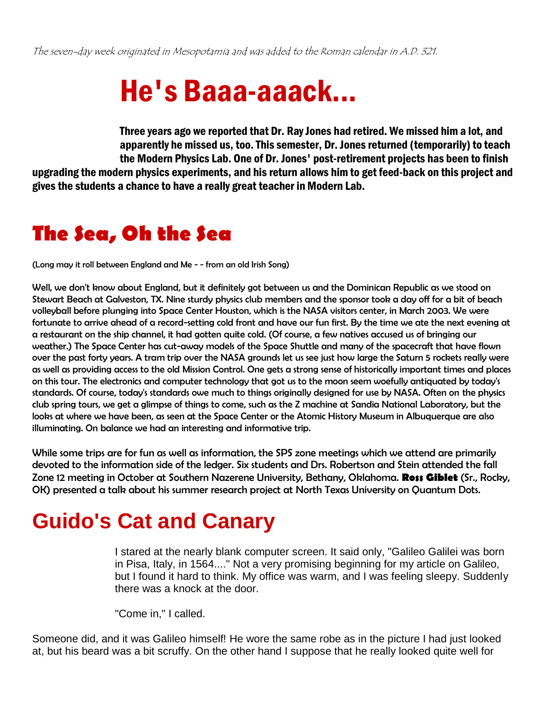### He's Baaa-aaack...

Three years ago we reported that Dr. Ray Jones had retired. We missed him a lot, and apparently he missed us, too. This semester, Dr. Jones returned (temporarily) to teach the Modern Physics Lab. One of Dr. Jones' post-retirement projects has been to finish upgrading the modern physics experiments, and his return allows him to get feed-back on this project and gives the students a chance to have a really great teacher in Modern Lab.

#### **The Sea, Oh the Sea**

(Long may it roll between England and Me - - from an old Irish Song)

Well, we don't know about England, but it definitely got between us and the Dominican Republic as we stood on Stewart Beach at Galveston, TX. Nine sturdy physics club members and the sponsor took a day off for a bit of beach volleyball before plunging into Space Center Houston, which is the NASA visitors center, in March 2003. We were fortunate to arrive ahead of a record-setting cold front and have our fun first. By the time we ate the next evening at a restaurant on the ship channel, it had gotten quite cold. (Of course, a few natives accused us of bringing our weather.) The Space Center has cut-away models of the Space Shuttle and many of the spacecraft that have flown over the past forty years. A tram trip over the NASA grounds let us see just how large the Saturn 5 rockets really were as well as providing access to the old Mission Control. One gets a strong sense of historically important times and places on this tour. The electronics and computer technology that got us to the moon seem woefully antiquated by today's standards. Of course, today's standards owe much to things originally designed for use by NASA. Often on the physics club spring tours, we get a glimpse of things to come, such as the Z machine at Sandia National Laboratory, but the looks at where we have been, as seen at the Space Center or the Atomic History Museum in Albuquerque are also illuminating. On balance we had an interesting and informative trip.

While some trips are for fun as well as information, the SPS zone meetings which we attend are primarily devoted to the information side of the ledger. Six students and Drs. Robertson and Stein attended the fall Zone 12 meeting in October at Southern Nazerene University, Bethany, Oklahoma. **Ross Giblet** (Sr., Rocky, OK) presented a talk about his summer research project at North Texas University on Quantum Dots.

### **Guido's Cat and Canary**

I stared at the nearly blank computer screen. It said only, "Galileo Galilei was born in Pisa, Italy, in 1564...." Not a very promising beginning for my article on Galileo, but I found it hard to think. My office was warm, and I was feeling sleepy. Suddenly there was a knock at the door.

"Come in," I called.

Someone did, and it was Galileo himself! He wore the same robe as in the picture I had just looked at, but his beard was a bit scruffy. On the other hand I suppose that he really looked quite well for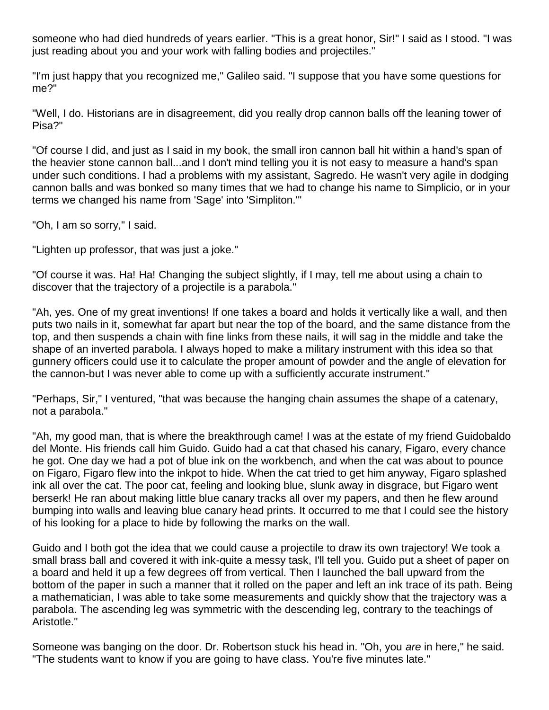someone who had died hundreds of years earlier. "This is a great honor, Sir!" I said as I stood. "I was just reading about you and your work with falling bodies and projectiles."

"I'm just happy that you recognized me," Galileo said. "I suppose that you have some questions for me?"

"Well, I do. Historians are in disagreement, did you really drop cannon balls off the leaning tower of Pisa?"

"Of course I did, and just as I said in my book, the small iron cannon ball hit within a hand's span of the heavier stone cannon ball...and I don't mind telling you it is not easy to measure a hand's span under such conditions. I had a problems with my assistant, Sagredo. He wasn't very agile in dodging cannon balls and was bonked so many times that we had to change his name to Simplicio, or in your terms we changed his name from 'Sage' into 'Simpliton.'"

"Oh, I am so sorry," I said.

"Lighten up professor, that was just a joke."

"Of course it was. Ha! Ha! Changing the subject slightly, if I may, tell me about using a chain to discover that the trajectory of a projectile is a parabola."

"Ah, yes. One of my great inventions! If one takes a board and holds it vertically like a wall, and then puts two nails in it, somewhat far apart but near the top of the board, and the same distance from the top, and then suspends a chain with fine links from these nails, it will sag in the middle and take the shape of an inverted parabola. I always hoped to make a military instrument with this idea so that gunnery officers could use it to calculate the proper amount of powder and the angle of elevation for the cannon-but I was never able to come up with a sufficiently accurate instrument."

"Perhaps, Sir," I ventured, "that was because the hanging chain assumes the shape of a catenary, not a parabola."

"Ah, my good man, that is where the breakthrough came! I was at the estate of my friend Guidobaldo del Monte. His friends call him Guido. Guido had a cat that chased his canary, Figaro, every chance he got. One day we had a pot of blue ink on the workbench, and when the cat was about to pounce on Figaro, Figaro flew into the inkpot to hide. When the cat tried to get him anyway, Figaro splashed ink all over the cat. The poor cat, feeling and looking blue, slunk away in disgrace, but Figaro went berserk! He ran about making little blue canary tracks all over my papers, and then he flew around bumping into walls and leaving blue canary head prints. It occurred to me that I could see the history of his looking for a place to hide by following the marks on the wall.

Guido and I both got the idea that we could cause a projectile to draw its own trajectory! We took a small brass ball and covered it with ink-quite a messy task, I'll tell you. Guido put a sheet of paper on a board and held it up a few degrees off from vertical. Then I launched the ball upward from the bottom of the paper in such a manner that it rolled on the paper and left an ink trace of its path. Being a mathematician, I was able to take some measurements and quickly show that the trajectory was a parabola. The ascending leg was symmetric with the descending leg, contrary to the teachings of Aristotle."

Someone was banging on the door. Dr. Robertson stuck his head in. "Oh, you *are* in here," he said. "The students want to know if you are going to have class. You're five minutes late."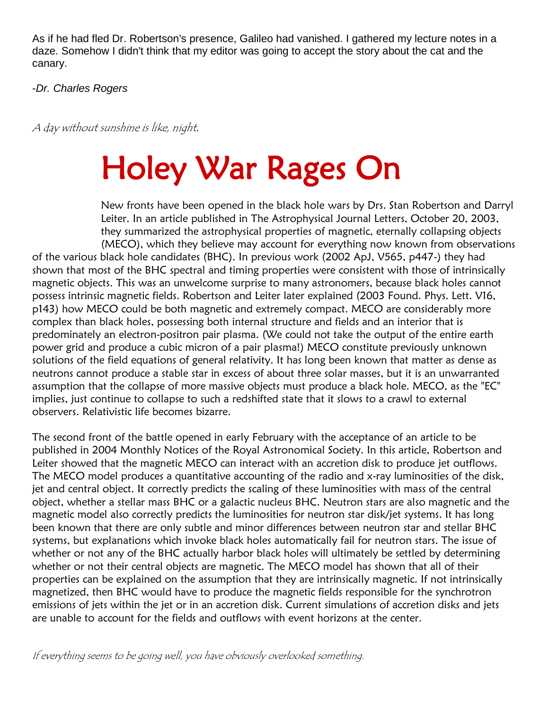As if he had fled Dr. Robertson's presence, Galileo had vanished. I gathered my lecture notes in a daze. Somehow I didn't think that my editor was going to accept the story about the cat and the canary.

-*Dr. Charles Rogers*

A day without sunshine is like, night.

## Holey War Rages On

New fronts have been opened in the black hole wars by Drs. Stan Robertson and Darryl Leiter. In an article published in The Astrophysical Journal Letters, October 20, 2003, they summarized the astrophysical properties of magnetic, eternally collapsing objects (MECO), which they believe may account for everything now known from observations of the various black hole candidates (BHC). In previous work (2002 ApJ, V565, p447-) they had shown that most of the BHC spectral and timing properties were consistent with those of intrinsically magnetic objects. This was an unwelcome surprise to many astronomers, because black holes cannot possess intrinsic magnetic fields. Robertson and Leiter later explained (2003 Found. Phys. Lett. V16, p143) how MECO could be both magnetic and extremely compact. MECO are considerably more complex than black holes, possessing both internal structure and fields and an interior that is predominately an electron-positron pair plasma. (We could not take the output of the entire earth power grid and produce a cubic micron of a pair plasma!) MECO constitute previously unknown solutions of the field equations of general relativity. It has long been known that matter as dense as neutrons cannot produce a stable star in excess of about three solar masses, but it is an unwarranted assumption that the collapse of more massive objects must produce a black hole. MECO, as the "EC" implies, just continue to collapse to such a redshifted state that it slows to a crawl to external observers. Relativistic life becomes bizarre.

The second front of the battle opened in early February with the acceptance of an article to be published in 2004 Monthly Notices of the Royal Astronomical Society. In this article, Robertson and Leiter showed that the magnetic MECO can interact with an accretion disk to produce jet outflows. The MECO model produces a quantitative accounting of the radio and x-ray luminosities of the disk, jet and central object. It correctly predicts the scaling of these luminosities with mass of the central object, whether a stellar mass BHC or a galactic nucleus BHC. Neutron stars are also magnetic and the magnetic model also correctly predicts the luminosities for neutron star disk/jet systems. It has long been known that there are only subtle and minor differences between neutron star and stellar BHC systems, but explanations which invoke black holes automatically fail for neutron stars. The issue of whether or not any of the BHC actually harbor black holes will ultimately be settled by determining whether or not their central objects are magnetic. The MECO model has shown that all of their properties can be explained on the assumption that they are intrinsically magnetic. If not intrinsically magnetized, then BHC would have to produce the magnetic fields responsible for the synchrotron emissions of jets within the jet or in an accretion disk. Current simulations of accretion disks and jets are unable to account for the fields and outflows with event horizons at the center.

If everything seems to be going well, you have obviously overlooked something.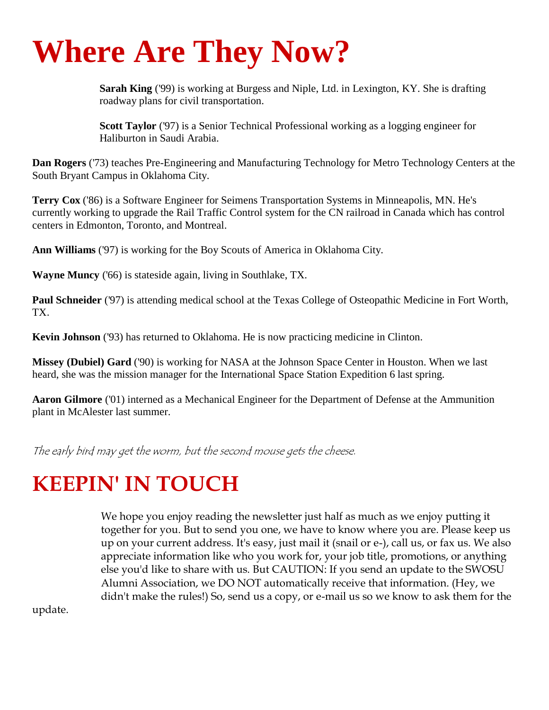## **Where Are They Now?**

**Sarah King** ('99) is working at Burgess and Niple, Ltd. in Lexington, KY. She is drafting roadway plans for civil transportation.

**Scott Taylor** ('97) is a Senior Technical Professional working as a logging engineer for Haliburton in Saudi Arabia.

**Dan Rogers** ('73) teaches Pre-Engineering and Manufacturing Technology for Metro Technology Centers at the South Bryant Campus in Oklahoma City.

**Terry Cox** ('86) is a Software Engineer for Seimens Transportation Systems in Minneapolis, MN. He's currently working to upgrade the Rail Traffic Control system for the CN railroad in Canada which has control centers in Edmonton, Toronto, and Montreal.

**Ann Williams** ('97) is working for the Boy Scouts of America in Oklahoma City.

**Wayne Muncy** ('66) is stateside again, living in Southlake, TX.

**Paul Schneider** ('97) is attending medical school at the Texas College of Osteopathic Medicine in Fort Worth, TX.

**Kevin Johnson** ('93) has returned to Oklahoma. He is now practicing medicine in Clinton.

**Missey (Dubiel) Gard** ('90) is working for NASA at the Johnson Space Center in Houston. When we last heard, she was the mission manager for the International Space Station Expedition 6 last spring.

**Aaron Gilmore** ('01) interned as a Mechanical Engineer for the Department of Defense at the Ammunition plant in McAlester last summer.

The early bird may get the worm, but the second mouse gets the cheese.

### **KEEPIN' IN TOUCH**

We hope you enjoy reading the newsletter just half as much as we enjoy putting it together for you. But to send you one, we have to know where you are. Please keep us up on your current address. It's easy, just mail it (snail or e-), call us, or fax us. We also appreciate information like who you work for, your job title, promotions, or anything else you'd like to share with us. But CAUTION: If you send an update to the SWOSU Alumni Association, we DO NOT automatically receive that information. (Hey, we didn't make the rules!) So, send us a copy, or e-mail us so we know to ask them for the

update.